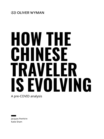# **HOW THE CHINESE TRAVELER IS EVOLVING** A pre-COVID analysis

Jacques Penhirin Katie Sham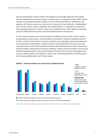Over the past decade, Chinese travelers have played an increasingly important role in global tourism. Alongside the continuous surge in numbers since our inaugural survey in 2016, Chinese travelers have exhibited dramatic changes in terms of their travel behavior, preferences, and spending. As Chinese travelers are a key source of revenue for many industries, including Retail and Consumer Goods, Leisure, Hospitality, and Transportation, it is imperative to understand their spending preferences in detail. To get a more complete picture, Oliver Wyman conducted a survey of 2,000 Chinese consumers who had travelled abroad in the past year.

In 2019, Chinese travelers were a key driving force of global tourism in terms of both numbers and spending. During the year, Chinese travelers accounted for 10 percent of global outbound travelers, and they contributed to 16 percent of global travel expenditure, generating outbound travel expenditure of \$245 billion. Travelers from the Chinese Mainland have been vital to the respective tourism of the Hong Kong SAR and Macau SAR, representing more than 70 percent of inbound travelers and 80 percent of tourism spending. Chinese outbound travelers have also had significant positive impacts on the travel industries of several Asian countries and regions, such as Korea, Vietnam, Japan, and Thailand, to name a few, contributing between 25 and 40 percent of the travel spending within each of these places.



#### **Exhibit 1. Chinese travelers are a key driver of global tourism**

Chinese mainland travelers as a percent of total inbound travelers

**Chinese mainland travelers' spend as a percent of total travel spend (estimated)** 

Source: CEIC, Government databases, news articles, World Travel and Tourism Council, Statista, Oliver Wyman analysis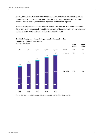In 2019, Chinese travelers made a total of around 6.2 billion trips, an increase of 8 percent compared to 2018. The continuing growth was driven by rising disposable incomes, more affordable travel options, and the rapid expansion of online travel agencies.

The vast majority of the trips were domestic. In fact, six billion trips were domestic and only 0.2 billion trips were outbound. In addition, the growth of domestic travel has been outpacing outbound travel, growing at a rate of 8 percent versus 4 percent.



**Exhibit 2. Steady annual growth trips made by Chinese travelers**

Source: CEIC, Government databases, World Tourism Organization, Statista, Oliver Wyman analysis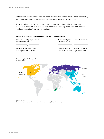Outbound travel has benefited from the continuous relaxation of travel policies. As of January 2020, 71 countries had implemented visa-free or visa-on-arrival access to Chinese citizens.

The wider adoption of Chinese mobile payment options around the globe has also made outbound travel easier. As of February 2019, 54 markets, including 28 in Europe and 22 in Asia, had begun accepting Alipay payment options.

#### **Exhibit 3. Significant efforts globally to attract Chinese travelers**



1. As of Jan, 2020 Source: Henley Passport Index, Business Insider, News articles, Oliver Wyman analysis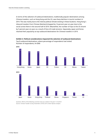In terms of the selection of outbound destinations, traditionally popular destinations among Chinese travelers, such as Hong Kong and the US, saw sharp declines in tourist numbers in 2019. This was mainly due to the intense political climate existing in these locations. Hong Kong's inbound travelers from Chinese Mainland dropped by 14 percent year-on-year due to the social unrest there in the second half of 2019. Meanwhile, the number of trips to the US shrank by 5 percent year-on-year as a result of Sino-US trade tensions. Separately, Japan and Korea retained their popularity as top outbound destinations for Chinese travelers in 2019.



**Exhibit 4. Political considerations impacted the selection of outbound destinations**

Top 8 outbound destinations, where percentage of respondents had visited. Number of respondents, N=2000

Question: Which of the following countries have you visited in the past 12 months? Source: Chinese Traveler Survey, November 2018 & 2019, Oliver Wyman analysis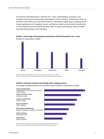For domestic travel destinations, while key Tier 1 cities, namely Beijing, Guangzhou, and Shanghai, have remained top domestic destinations, Chinese travelers' preferences in terms of domestic travel themes have started shifting from metropolitan sightseeing to enjoying nature. Leisure explorations to Chongqing, Yunnan, and Sichuan ranked as top domestic travel themes in 2019, followed by those to preserved water towns in Jiangsu and Zhejiang, which are within accessible driving distance from Shanghai.



**Exhibit 5. Percentage of top domestic destinations 2019 dominated by Tier 1 cities** Number of respondents, N=2000

Question: Which of the following cities have you visited in the past 12 months? Source: Trustdata, Chinese Traveler Survey, November 2019, Oliver Wyman analysis

#### **Exhibit 6. Domestic travelers increasingly prefer enjoying nature**

Percentage of preferred themes for domestic travel. Number of respondents, N=2000



Question: What destination themes/ styles do you prefer for domestic travel? Source: Chinese Traveler Survey, November 2019, Oliver Wyman analysis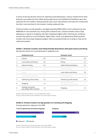In terms of the key decision factors for selecting travel destinations, scenery ranked first for both domestic and outbound travel. While dining experiences and child/family friendliness were also important for the travelers making domestic trips, local culture/history and value for money were the other main priorities for the travelers making outbound trips.

Chinese travelers are big spenders, averagely spending RMB14,000 on each outbound trip and RMB9,000 on each domestic trip. During their outbound trips, Chinese travelers show a high willingness to spend on shopping, with their shopping budgets often matching the combined amount they spend on accommodation, flight tickets, meals, and sightseeing. While domestic travelers also have large shopping budgets, these are proportionally not as large as they are for outbound travelers.

**Exhibit 7. Domestic travelers want family-friendly destinations with good scenery and dining** Key decision factors for travel destination, weighted score

|   | <b>Outbound travel</b>                                 |     | <b>Domestic travel</b>                                 |     |
|---|--------------------------------------------------------|-----|--------------------------------------------------------|-----|
|   | Scenery                                                | 5.0 | Scenery                                                | 5.0 |
| 2 | Local culture and history                              | 2.6 | Dining                                                 | 3.1 |
| 3 | Value-for-money                                        | 2.4 | Child-/Family-friendliness                             | 2.7 |
|   | Online popularity                                      | 2.2 | Value-for-money                                        | 2.6 |
|   | Dining                                                 | 2.2 | Local culture and history                              | 2.4 |
| 6 | Child-/Family-friendliness                             | 2.1 | Online popularity                                      | 2.4 |
| 7 | Themes (e.g. Film scenes)                              | 1.6 | Themes (e.g. Film scenes)                              | 1.6 |
| 8 | Shopping                                               | 1.4 | Activities and sports<br>(e.g. Skiing, Golf, Concerts) | 1.5 |
| 9 | Activities and sports<br>(e.g. Skiing, Golf, Concerts) | 1.4 | Shopping                                               | 1.2 |

Question: What do you look for in a tourist destination? (Top 3) Source: Chinese Traveler Survey, November 2019, Oliver Wyman analysis

#### **Exhibit 8. Chinese travelers are big spenders on traveling and shopping**

Average spend per capita per trip, RMB



Question: What was your average spending in this trip (in RMB)? Source: Chinese Traveler Survey, November 2019, Oliver Wyman analysis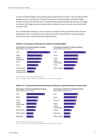In terms of booking flights, local booking agencies dominate the market. C-trip and official airline websites are the most common channels through which Chinese travelers book their flights, for both overseas and domestic trips. Closely following these travel-booking resources are Fliggy and Qunar, with Fliggy being more preferred for outbound travel and Qunar more preferred for domestic travel.

For accommodation booking, C-trip is still the most popular booking channel for both overseas and domestic trips. For domestic trips, while Qunar ranks second, Meituan has been gaining market share and is now the third most popular option.

#### **Exhibit 9. Local players dominate the market for booking flights**

**Percentage of outbound transport booking** Respondents' top 3 choices



#### **Percentage of domestic transport booking** Respondents' top 3 choices



Question: Where do you book your flight mostly? Source: Trustdata, Chinese Traveler Survey, November 2019, Oliver Wyman analysis

#### **Exhibit 10. C-trip dominates hotel bookings and Meituan is gaining domestic market share**







**Percentage of domestic hospitality booking**



Question: Where do you book your stays mostly?

Source: Trustdata, Chinese Traveler Survey, November 2019, Oliver Wyman analysis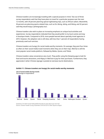Chinese travelers are increasingly traveling with a special purpose in mind. Two out of three survey respondents said that they have plans to travel for a particular purpose over the next 12 months, with 39 percent planning special sightseeing trips, such as African safaris. Meanwhile, 36 percent are planning sports-related trips, such as for diving, skiing, and hiking, and 32 percent said they would enjoy a photography tour.

Chinese travelers also wish to place an increasing emphasis on unique local activities and experiences. Survey respondents indicated that they would prefer to try local cuisine and stay in boutique hotels. Compared to 2018, more people learned about specialty travel agencies in 2019. However, the adoption rate is still slow, with less than 1 percent of respondents having previously used such services.

Chinese travelers are hungry for social media worthy moments. On average, they post four times as often on their social-media travel moments when they are on their trips. WeChat is still the most popular social media platform, followed by Weibo, Qzone, and Tiktok.

Chinese travelers value convenience very much. They prefer using the Dianping app to look for food and tourist attractions, and Alipay or WeChat to pay for their purchases. Furthermore, they appreciate it when Chinese signage is posted at overseas tourist destinations.



#### **Exhibit 11. Chinese travelers are hungry for social media worthy moments**

Questions: On which social media platform(s) did you post about your last trip? Source: Chinese Traveler Survey, November 2018 and 2019, Oliver Wyman analysis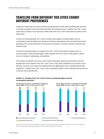## **TRAVELERS FROM DIFFERENT TIER CITIES EXHIBIT DIFFERENT PREFERENCES**

In general, family trips are more common during domestic travel, while travelling with partners or friends is equally common for both domestic and overseas travel. Travelers from Tier 1 and 2 cities tend to conduct more solo trips, while those from Tier 3 and 4 cities tend to conduct more family trips.

In terms of travel spending, Tier 3 and 4 travelers have begun to exhibit higher tourism consumption potential. More than 80 percent of these respondents have increased their travel spending from at least 20 percent to 50 percent in the past 12 months, for both outbound and domestic trips.

In terms of spending patterns, travelers from Tier 1 and 2 cities prefer to spend more on accommodation, food and beverages, while travelers from Tier 3 and 4 cities prefer to spend more on transport, sightseeing, and activities.

The number of travelers from Tier 3 and 4 cities traveling for special local activities is almost double that of the travelers from Tier 1 and 2 cities. They show a preference to travel for music festivals, concerts, and unique local experiences and sightseeing, such as viewing wild animal migrations. Travelers from Tier 1 and 2 cities, meanwhile, prefer a more relaxing trip that focuses on leisure and entertainment.

### **Exhibit 12. Travelers from Tier 3 and 4 cities are showing higher tourism consumption potential**

**Percentage increase in spending on outbound** 



**Percentage increase in spending on domestic** 

Questions: How much has your spending on domestic and outbound travels increased in the past 12 months vs 1 year ago? Source: Chinese Traveler Survey, November 2018 and 2019, Oliver Wyman analysis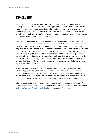## **CONCLUSION**

Overall, Chinese tourists are playing an increasingly important role in the global tourism industry, as their travel frequency and purchasing power continue to increase steadily. At the same time, tourist destinations around the globe are aiming to create a more convenient and suitable travel experience for Chinese tourists through the relaxation of visa policies and the prevalence of mobile payments. With this combination, we believe the impact of Chinese tourists on the global tourism industry will continue to grow.

In addition, Chinese tourists continue to show a higher consumption potential. In particular, they are demonstrating more sophisticated needs compared to the past. For example, Chinese tourists are increasingly keen to understand local culture and explore authentic local cuisine to help them achieve a localized experience. They are also showing a higher willingness to travel for non-mainstream sightseeing spots and share social posts with location hash tags. In addition, they are willing to spend more to reward themselves with better service, and they appreciate the convenience of being able to use established mobile apps. Last but not least, sharing social media worthy moments during their trips has become a must. These changes illustrate the growing significance of Chinese tourists' increasingly cultural, exploratory, individualized, and social needs when they travel.

The survey results show that Chinese consumers have a strong desire to travel and spend, whether they are traveling domestically or abroad. The insights regarding the changing preferences of Chinese tourists can help industry players to seize specific opportunities to grow their businesses. We believe companies in the tourism industry can dial up their efforts to offer boutique or customized travel options that feature unique local experiences of interest.

Oliver Wyman conducted a consumer survey in March, 2020 to understand the impact of COVID-19 and reveal the changes happening to the behavior of Chinese travelers. Please refer to [Chinese Travelers Favor Domestic Destinations for more](https://www.oliverwyman.com/our-expertise/insights/2020/apr/chinese-travelers-favor-domestic-destinations.html) information.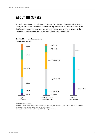## **ABOUT THE SURVEY**

The online questionnaire was fielded in Mainland China in November 2019. Oliver Wyman surveyed 2,000 travelers to understand the evolving preferences of Chinese tourists. Of the 2,000 respondents, 51 percent were male, and 49 percent were female; 73 percent of the respondents had a monthly income between RMB10,000 and RMB30,000.



**Exhibit 13. Sample demographics**

Sample size, N=2000

1. Question: how old are you?

2. Question: what is your household's monthly disposable income (pre-tax, including salary, rent, investment income etc)? 3. Question: which province and city are you currently living in?

Source: Chinese Traveler Survey, November 2019, Oliver Wyman analysis